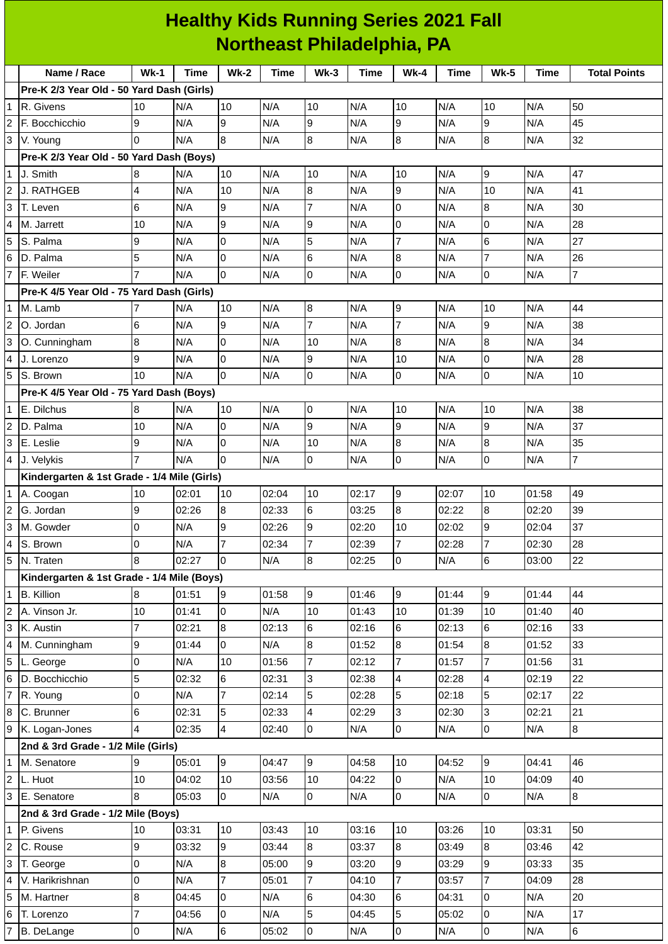| <b>Healthy Kids Running Series 2021 Fall</b> |                                             |             |             |                |             |                |             |                |             |                  |             |                     |
|----------------------------------------------|---------------------------------------------|-------------|-------------|----------------|-------------|----------------|-------------|----------------|-------------|------------------|-------------|---------------------|
|                                              | <b>Northeast Philadelphia, PA</b>           |             |             |                |             |                |             |                |             |                  |             |                     |
|                                              | Name / Race                                 | <b>Wk-1</b> | <b>Time</b> | $Wk-2$         | <b>Time</b> | $Wk-3$         | <b>Time</b> | $Wk-4$         | <b>Time</b> | <b>Wk-5</b>      | <b>Time</b> | <b>Total Points</b> |
|                                              | Pre-K 2/3 Year Old - 50 Yard Dash (Girls)   |             |             |                |             |                |             |                |             |                  |             |                     |
| $\overline{1}$                               | R. Givens                                   | 10          | N/A         | 10             | N/A         | 10             | N/A         | 10             | N/A         | 10               | N/A         | 50                  |
| $\overline{2}$                               | F. Bocchicchio                              | 9           | N/A         | 9              | N/A         | 9              | N/A         | 9              | N/A         | 9                | N/A         | 45                  |
| 3                                            | V. Young                                    | $\Omega$    | N/A         | 8              | N/A         | $\bf 8$        | N/A         | 8              | N/A         | $\boldsymbol{8}$ | N/A         | 32                  |
|                                              | Pre-K 2/3 Year Old - 50 Yard Dash (Boys)    |             |             |                |             |                |             |                |             |                  |             |                     |
| $\overline{1}$                               | J. Smith                                    | 8           | N/A         | 10             | N/A         | 10             | N/A         | 10             | N/A         | 9                | N/A         | 47                  |
| $\overline{c}$                               | J. RATHGEB                                  | 4           | N/A         | 10             | N/A         | 8              | N/A         | 9              | N/A         | 10               | N/A         | 41                  |
| 3                                            | T. Leven                                    | 6           | N/A         | 9              | N/A         | $\overline{7}$ | N/A         | 0              | N/A         | $\boldsymbol{8}$ | N/A         | 30                  |
| $\overline{4}$                               | M. Jarrett                                  | 10          | N/A         | 9              | N/A         | 9              | N/A         | 0              | N/A         | 0                | N/A         | 28                  |
| 5                                            | S. Palma                                    | 9           | N/A         | 0              | N/A         | 5              | N/A         | 7              | N/A         | 6                | N/A         | 27                  |
| $6\phantom{a}$                               | D. Palma                                    | 5           | N/A         | 0              | N/A         | 6              | N/A         | 8              | N/A         | 7                | N/A         | 26                  |
| $\overline{7}$                               | F. Weiler                                   |             | N/A         | 0              | N/A         | 0              | N/A         | 0              | N/A         | 0                | N/A         | 7                   |
|                                              | Pre-K 4/5 Year Old - 75 Yard Dash (Girls)   |             |             |                |             |                |             |                |             |                  |             |                     |
| $\overline{1}$                               | M. Lamb                                     |             | N/A         | 10             | N/A         | $\bf 8$        | N/A         | 9              | N/A         | 10               | N/A         | 44                  |
| $\overline{2}$                               | O. Jordan                                   | 6           | N/A         | 9              | N/A         | $\overline{7}$ | N/A         | 7              | N/A         | 9                | N/A         | 38                  |
| $\overline{3}$                               | O. Cunningham                               | 8           | N/A         | 0              | N/A         | 10             | N/A         | 8              | N/A         | 8                | N/A         | 34                  |
| $\overline{4}$                               | J. Lorenzo                                  | 9           | N/A         | 0              | N/A         | 9              | N/A         | 10             | N/A         | 0                | N/A         | 28                  |
| 5                                            | S. Brown                                    | 10          | N/A         | $\Omega$       | N/A         | 0              | N/A         | 0              | N/A         | 0                | N/A         | 10                  |
|                                              | Pre-K 4/5 Year Old - 75 Yard Dash (Boys)    |             |             |                |             |                |             |                |             |                  |             |                     |
| $\mathbf{1}$                                 | E. Dilchus                                  | 8           | N/A         | 10             | N/A         | 0              | N/A         | 10             | N/A         | 10               | N/A         | 38                  |
| $\overline{2}$                               | D. Palma                                    | 10          | N/A         | 0              | N/A         | 9              | N/A         | 9              | N/A         | 9                | N/A         | 37                  |
| $\overline{3}$                               | E. Leslie                                   | 9           | N/A         | 0              | N/A         | 10             | N/A         | 8              | N/A         | 8                | N/A         | 35                  |
| $\overline{4}$                               | J. Velykis                                  |             | N/A         | $\Omega$       | N/A         | 0              | N/A         | 0              | N/A         | 0                | N/A         | 7                   |
|                                              | Kindergarten & 1st Grade - 1/4 Mile (Girls) |             |             |                |             |                |             |                |             |                  |             |                     |
| $\mathbf{1}$                                 | A. Coogan                                   | 10          | 02:01       | 10             | 02:04       | 10             | 02:17       | 9              | 02:07       | 10               | 01:58       | 49                  |
| $\overline{2}$                               | G. Jordan                                   | 9           | 02:26       | $\bf 8$        | 02:33       | $\,$ 6         | 03:25       | $\bf{8}$       | 02:22       | $\, 8$           | 02:20       | 39                  |
| $\overline{3}$                               | M. Gowder                                   | 0           | N/A         | 9              | 02:26       | 9              | 02:20       | 10             | 02:02       | 9                | 02:04       | 37                  |
| $\overline{4}$                               | S. Brown                                    | 0           | N/A         | 7              | 02:34       | $\overline{7}$ | 02:39       | $\overline{7}$ | 02:28       | 7                | 02:30       | 28                  |
| $\overline{5}$                               | N. Traten                                   | 8           | 02:27       | 0              | N/A         | 8              | 02:25       | 0              | N/A         | 6                | 03:00       | 22                  |
|                                              | Kindergarten & 1st Grade - 1/4 Mile (Boys)  |             |             |                |             |                |             |                |             |                  |             |                     |
| $\overline{1}$                               | <b>B.</b> Killion                           | 8           | 01:51       | 9              | 01:58       | 9              | 01:46       | 9              | 01:44       | 9                | 01:44       | 44                  |
| $\overline{2}$                               | A. Vinson Jr.                               | 10          | 01:41       | $\Omega$       | N/A         | 10             | 01:43       | 10             | 01:39       | 10               | 01:40       | 40                  |
| $\overline{a}$                               | K. Austin                                   | 7           | 02:21       | 8              | 02:13       | 6              | 02:16       | 6              | 02:13       | 6                | 02:16       | 33                  |
| $\overline{4}$                               | M. Cunningham                               | 9           | 01:44       | 0              | N/A         | 8              | 01:52       | 8              | 01:54       | 8                | 01:52       | 33                  |
| 5                                            | L. George                                   | 0           | N/A         | 10             | 01:56       | $\overline{7}$ | 02:12       | $\overline{7}$ | 01:57       | $\overline{7}$   | 01:56       | 31                  |
| $\overline{6}$                               | D. Bocchicchio                              | 5           | 02:32       | 6              | 02:31       | 3              | 02:38       | $\overline{4}$ | 02:28       | 4                | 02:19       | 22                  |
| $\overline{7}$                               | R. Young                                    | 0           | N/A         | 7              | 02:14       | 5              | 02:28       | 5              | 02:18       | 5                | 02:17       | 22                  |
| $\overline{8}$                               | C. Brunner                                  | 6           | 02:31       | 5              | 02:33       | 4              | 02:29       | 3              | 02:30       | 3                | 02:21       | 21                  |
| $\overline{9}$                               | K. Logan-Jones                              | 4           | 02:35       | $\overline{4}$ | 02:40       | l0             | N/A         | 0              | N/A         | l0               | N/A         | 8                   |
|                                              | 2nd & 3rd Grade - 1/2 Mile (Girls)          |             |             |                |             |                |             |                |             |                  |             |                     |
| $\overline{1}$                               | M. Senatore                                 | 9           | 05:01       | 9              | 04:47       | 9              | 04:58       | 10             | 04:52       | 9                | 04:41       | 46                  |
| $\overline{c}$                               | L. Huot                                     | 10          | 04:02       | 10             | 03:56       | 10             | 04:22       | 0              | N/A         | 10               | 04:09       | 40                  |
| $\overline{3}$                               | E. Senatore                                 | 8           | 05:03       | $\overline{0}$ | N/A         | $\overline{0}$ | N/A         | $\overline{0}$ | N/A         | $\overline{0}$   | N/A         | 8                   |
|                                              | 2nd & 3rd Grade - 1/2 Mile (Boys)           |             |             |                |             |                |             |                |             |                  |             |                     |
| $\overline{1}$                               | P. Givens                                   | 10          | 03:31       | 10             | 03:43       | 10             | 03:16       | 10             | 03:26       | 10               | 03:31       | 50                  |
| $\overline{2}$                               | C. Rouse                                    | 9           | 03:32       | 9              | 03:44       | 8              | 03:37       | 8              | 03:49       | 8                | 03:46       | 42                  |
| $\overline{3}$                               | T. George                                   | 0           | N/A         | 8              | 05:00       | 9              | 03:20       | 9              | 03:29       | 9                | 03:33       | 35                  |
| $\overline{4}$                               | V. Harikrishnan                             | 0           | N/A         | 7              | 05:01       | $\overline{7}$ | 04:10       | $\overline{7}$ | 03:57       | $\overline{7}$   | 04:09       | 28                  |
| 5                                            | M. Hartner                                  | 8           | 04:45       | 0              | N/A         | 6              | 04:30       | 6              | 04:31       | 0                | N/A         | 20                  |
| $\overline{6}$                               | T. Lorenzo                                  | 7           | 04:56       | 0              | N/A         | 5              | 04:45       | 5              | 05:02       | 0                | N/A         | 17                  |
|                                              | 7 B. DeLange                                | 0           | N/A         | 6              | 05:02       | l0             | N/A         | $\overline{0}$ | N/A         | l0               | N/A         | $6\phantom{a}$      |